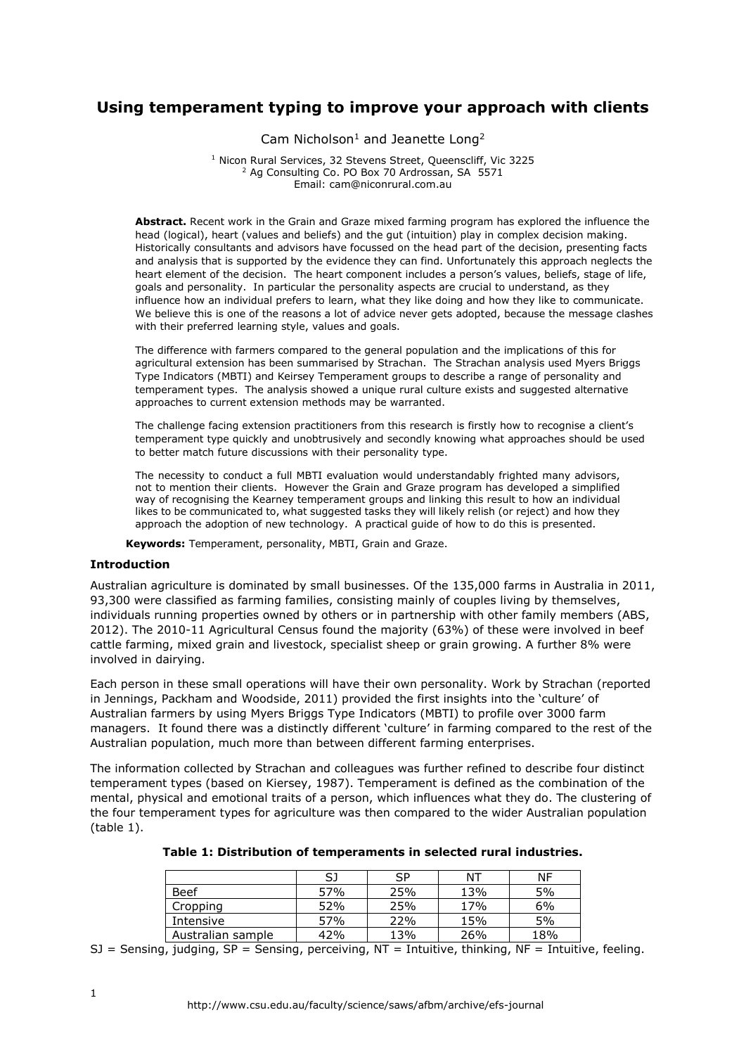# **Using temperament typing to improve your approach with clients**

Cam Nicholson<sup>1</sup> and Jeanette Long<sup>2</sup>

<sup>1</sup> Nicon Rural Services, 32 Stevens Street, Queenscliff, Vic 3225 <sup>2</sup> Ag Consulting Co. PO Box 70 Ardrossan, SA 5571 Email: cam@niconrural.com.au

**Abstract.** Recent work in the Grain and Graze mixed farming program has explored the influence the head (logical), heart (values and beliefs) and the gut (intuition) play in complex decision making. Historically consultants and advisors have focussed on the head part of the decision, presenting facts and analysis that is supported by the evidence they can find. Unfortunately this approach neglects the heart element of the decision. The heart component includes a person's values, beliefs, stage of life, goals and personality. In particular the personality aspects are crucial to understand, as they influence how an individual prefers to learn, what they like doing and how they like to communicate. We believe this is one of the reasons a lot of advice never gets adopted, because the message clashes with their preferred learning style, values and goals.

The difference with farmers compared to the general population and the implications of this for agricultural extension has been summarised by Strachan. The Strachan analysis used Myers Briggs Type Indicators (MBTI) and Keirsey Temperament groups to describe a range of personality and temperament types. The analysis showed a unique rural culture exists and suggested alternative approaches to current extension methods may be warranted.

The challenge facing extension practitioners from this research is firstly how to recognise a client's temperament type quickly and unobtrusively and secondly knowing what approaches should be used to better match future discussions with their personality type.

The necessity to conduct a full MBTI evaluation would understandably frighted many advisors, not to mention their clients. However the Grain and Graze program has developed a simplified way of recognising the Kearney temperament groups and linking this result to how an individual likes to be communicated to, what suggested tasks they will likely relish (or reject) and how they approach the adoption of new technology. A practical guide of how to do this is presented.

**Keywords:** Temperament, personality, MBTI, Grain and Graze.

## **Introduction**

Australian agriculture is dominated by small businesses. Of the 135,000 farms in Australia in 2011, 93,300 were classified as farming families, consisting mainly of couples living by themselves, individuals running properties owned by others or in partnership with other family members (ABS, 2012). The 2010-11 Agricultural Census found the majority (63%) of these were involved in beef cattle farming, mixed grain and livestock, specialist sheep or grain growing. A further 8% were involved in dairying.

Each person in these small operations will have their own personality. Work by Strachan (reported in Jennings, Packham and Woodside, 2011) provided the first insights into the 'culture' of Australian farmers by using Myers Briggs Type Indicators (MBTI) to profile over 3000 farm managers. It found there was a distinctly different 'culture' in farming compared to the rest of the Australian population, much more than between different farming enterprises.

The information collected by Strachan and colleagues was further refined to describe four distinct temperament types (based on Kiersey, 1987). Temperament is defined as the combination of the mental, physical and emotional traits of a person, which influences what they do. The clustering of the four temperament types for agriculture was then compared to the wider Australian population (table 1).

| Table 1: Distribution of temperaments in selected rural industries. |  |           |    |     |  |
|---------------------------------------------------------------------|--|-----------|----|-----|--|
|                                                                     |  | <b>CP</b> | NT | NF. |  |

|                   | SJ  | SP  | ΝT  | ΝF  |
|-------------------|-----|-----|-----|-----|
| Beef              | 57% | 25% | 13% | 5%  |
| Cropping          | 52% | 25% | 17% | 6%  |
| Intensive         | 57% | 22% | 15% | 5%  |
| Australian sample | 42% | 13% | 26% | 18% |

SJ = Sensing, judging, SP = Sensing, perceiving,  $NT = Intuitive$ , thinking,  $NF = Intuitive$ , feeling.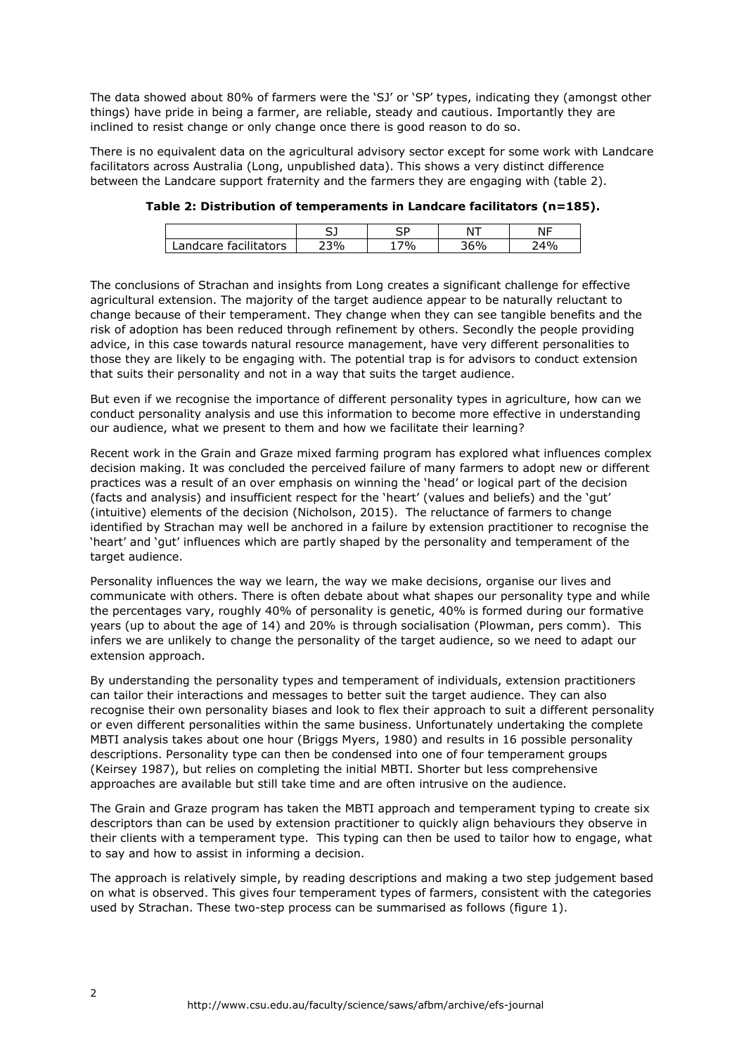The data showed about 80% of farmers were the 'SJ' or 'SP' types, indicating they (amongst other things) have pride in being a farmer, are reliable, steady and cautious. Importantly they are inclined to resist change or only change once there is good reason to do so.

There is no equivalent data on the agricultural advisory sector except for some work with Landcare facilitators across Australia (Long, unpublished data). This shows a very distinct difference between the Landcare support fraternity and the farmers they are engaging with (table 2).

|                      | . -<br>ັ        | <b>--</b><br>ັ | $\mathbf{u}$ | $\sim$ 1 $-$ |
|----------------------|-----------------|----------------|--------------|--------------|
| andcare facilitators | 30 <sub>o</sub> | 70⁄0           |              | $0.4\%$      |

**Table 2: Distribution of temperaments in Landcare facilitators (n=185).**

The conclusions of Strachan and insights from Long creates a significant challenge for effective agricultural extension. The majority of the target audience appear to be naturally reluctant to change because of their temperament. They change when they can see tangible benefits and the risk of adoption has been reduced through refinement by others. Secondly the people providing advice, in this case towards natural resource management, have very different personalities to those they are likely to be engaging with. The potential trap is for advisors to conduct extension that suits their personality and not in a way that suits the target audience.

But even if we recognise the importance of different personality types in agriculture, how can we conduct personality analysis and use this information to become more effective in understanding our audience, what we present to them and how we facilitate their learning?

Recent work in the Grain and Graze mixed farming program has explored what influences complex decision making. It was concluded the perceived failure of many farmers to adopt new or different practices was a result of an over emphasis on winning the 'head' or logical part of the decision (facts and analysis) and insufficient respect for the 'heart' (values and beliefs) and the 'gut' (intuitive) elements of the decision (Nicholson, 2015). The reluctance of farmers to change identified by Strachan may well be anchored in a failure by extension practitioner to recognise the 'heart' and 'gut' influences which are partly shaped by the personality and temperament of the target audience.

Personality influences the way we learn, the way we make decisions, organise our lives and communicate with others. There is often debate about what shapes our personality type and while the percentages vary, roughly 40% of personality is genetic, 40% is formed during our formative years (up to about the age of 14) and 20% is through socialisation (Plowman, pers comm). This infers we are unlikely to change the personality of the target audience, so we need to adapt our extension approach.

By understanding the personality types and temperament of individuals, extension practitioners can tailor their interactions and messages to better suit the target audience. They can also recognise their own personality biases and look to flex their approach to suit a different personality or even different personalities within the same business. Unfortunately undertaking the complete MBTI analysis takes about one hour (Briggs Myers, 1980) and results in 16 possible personality descriptions. Personality type can then be condensed into one of four temperament groups (Keirsey 1987), but relies on completing the initial MBTI. Shorter but less comprehensive approaches are available but still take time and are often intrusive on the audience.

The Grain and Graze program has taken the MBTI approach and temperament typing to create six descriptors than can be used by extension practitioner to quickly align behaviours they observe in their clients with a temperament type. This typing can then be used to tailor how to engage, what to say and how to assist in informing a decision.

The approach is relatively simple, by reading descriptions and making a two step judgement based on what is observed. This gives four temperament types of farmers, consistent with the categories used by Strachan. These two-step process can be summarised as follows (figure 1).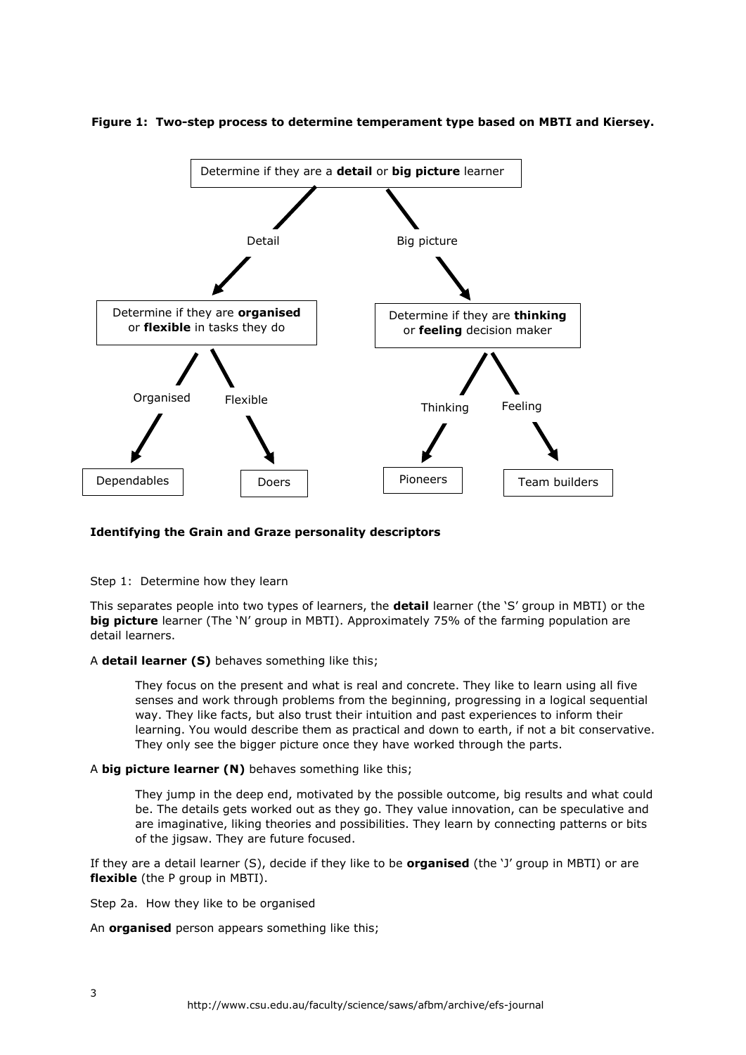



# **Identifying the Grain and Graze personality descriptors**

Step 1: Determine how they learn

This separates people into two types of learners, the **detail** learner (the 'S' group in MBTI) or the **big picture** learner (The 'N' group in MBTI). Approximately 75% of the farming population are detail learners.

A **detail learner (S)** behaves something like this;

They focus on the present and what is real and concrete. They like to learn using all five senses and work through problems from the beginning, progressing in a logical sequential way. They like facts, but also trust their intuition and past experiences to inform their learning. You would describe them as practical and down to earth, if not a bit conservative. They only see the bigger picture once they have worked through the parts.

A **big picture learner (N)** behaves something like this;

They jump in the deep end, motivated by the possible outcome, big results and what could be. The details gets worked out as they go. They value innovation, can be speculative and are imaginative, liking theories and possibilities. They learn by connecting patterns or bits of the jigsaw. They are future focused.

If they are a detail learner (S), decide if they like to be **organised** (the 'J' group in MBTI) or are **flexible** (the P group in MBTI).

Step 2a. How they like to be organised

An **organised** person appears something like this;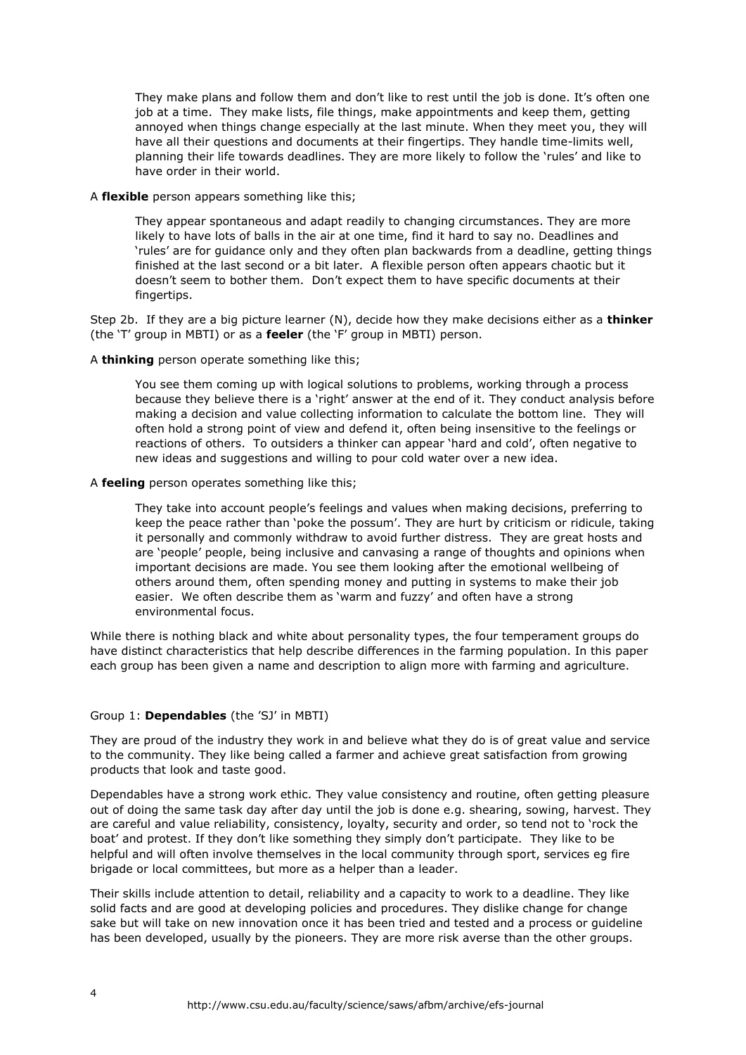They make plans and follow them and don't like to rest until the job is done. It's often one job at a time. They make lists, file things, make appointments and keep them, getting annoyed when things change especially at the last minute. When they meet you, they will have all their questions and documents at their fingertips. They handle time-limits well, planning their life towards deadlines. They are more likely to follow the 'rules' and like to have order in their world.

# A **flexible** person appears something like this;

They appear spontaneous and adapt readily to changing circumstances. They are more likely to have lots of balls in the air at one time, find it hard to say no. Deadlines and 'rules' are for guidance only and they often plan backwards from a deadline, getting things finished at the last second or a bit later. A flexible person often appears chaotic but it doesn't seem to bother them. Don't expect them to have specific documents at their fingertips.

Step 2b. If they are a big picture learner (N), decide how they make decisions either as a **thinker** (the 'T' group in MBTI) or as a **feeler** (the 'F' group in MBTI) person.

# A **thinking** person operate something like this;

You see them coming up with logical solutions to problems, working through a process because they believe there is a 'right' answer at the end of it. They conduct analysis before making a decision and value collecting information to calculate the bottom line. They will often hold a strong point of view and defend it, often being insensitive to the feelings or reactions of others. To outsiders a thinker can appear 'hard and cold', often negative to new ideas and suggestions and willing to pour cold water over a new idea.

#### A **feeling** person operates something like this;

They take into account people's feelings and values when making decisions, preferring to keep the peace rather than 'poke the possum'. They are hurt by criticism or ridicule, taking it personally and commonly withdraw to avoid further distress. They are great hosts and are 'people' people, being inclusive and canvasing a range of thoughts and opinions when important decisions are made. You see them looking after the emotional wellbeing of others around them, often spending money and putting in systems to make their job easier. We often describe them as 'warm and fuzzy' and often have a strong environmental focus.

While there is nothing black and white about personality types, the four temperament groups do have distinct characteristics that help describe differences in the farming population. In this paper each group has been given a name and description to align more with farming and agriculture.

# Group 1: **Dependables** (the 'SJ' in MBTI)

They are proud of the industry they work in and believe what they do is of great value and service to the community. They like being called a farmer and achieve great satisfaction from growing products that look and taste good.

Dependables have a strong work ethic. They value consistency and routine, often getting pleasure out of doing the same task day after day until the job is done e.g. shearing, sowing, harvest. They are careful and value reliability, consistency, loyalty, security and order, so tend not to 'rock the boat' and protest. If they don't like something they simply don't participate. They like to be helpful and will often involve themselves in the local community through sport, services eg fire brigade or local committees, but more as a helper than a leader.

Their skills include attention to detail, reliability and a capacity to work to a deadline. They like solid facts and are good at developing policies and procedures. They dislike change for change sake but will take on new innovation once it has been tried and tested and a process or guideline has been developed, usually by the pioneers. They are more risk averse than the other groups.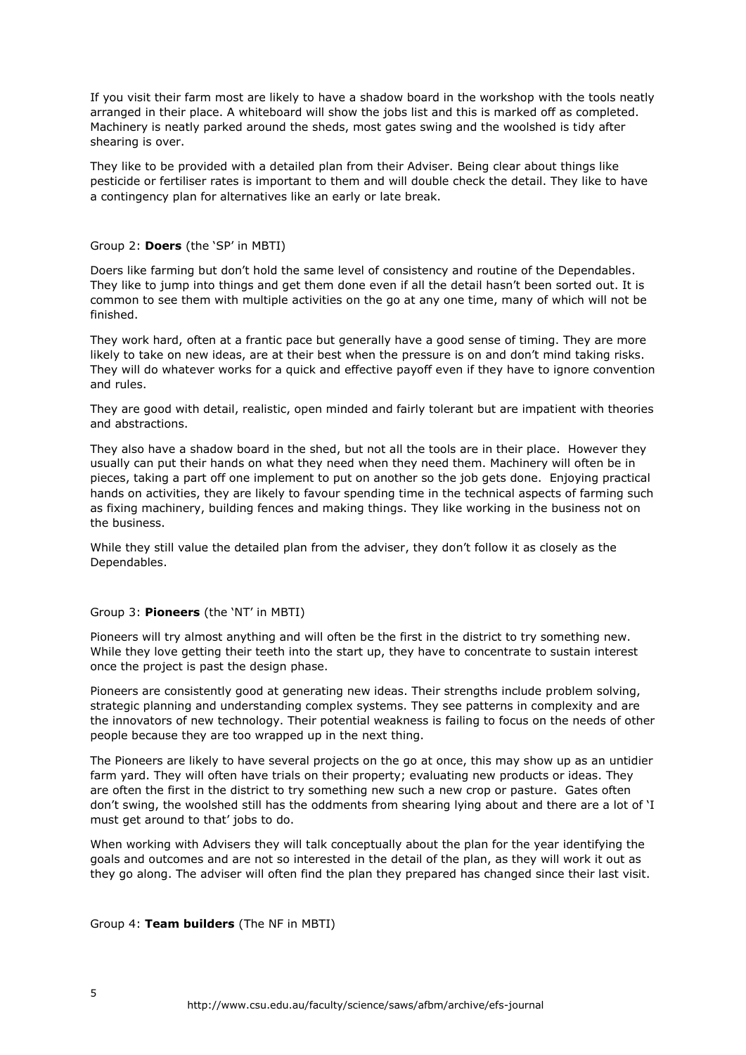If you visit their farm most are likely to have a shadow board in the workshop with the tools neatly arranged in their place. A whiteboard will show the jobs list and this is marked off as completed. Machinery is neatly parked around the sheds, most gates swing and the woolshed is tidy after shearing is over.

They like to be provided with a detailed plan from their Adviser. Being clear about things like pesticide or fertiliser rates is important to them and will double check the detail. They like to have a contingency plan for alternatives like an early or late break.

# Group 2: **Doers** (the 'SP' in MBTI)

Doers like farming but don't hold the same level of consistency and routine of the Dependables. They like to jump into things and get them done even if all the detail hasn't been sorted out. It is common to see them with multiple activities on the go at any one time, many of which will not be finished.

They work hard, often at a frantic pace but generally have a good sense of timing. They are more likely to take on new ideas, are at their best when the pressure is on and don't mind taking risks. They will do whatever works for a quick and effective payoff even if they have to ignore convention and rules.

They are good with detail, realistic, open minded and fairly tolerant but are impatient with theories and abstractions.

They also have a shadow board in the shed, but not all the tools are in their place. However they usually can put their hands on what they need when they need them. Machinery will often be in pieces, taking a part off one implement to put on another so the job gets done. Enjoying practical hands on activities, they are likely to favour spending time in the technical aspects of farming such as fixing machinery, building fences and making things. They like working in the business not on the business.

While they still value the detailed plan from the adviser, they don't follow it as closely as the Dependables.

#### Group 3: **Pioneers** (the 'NT' in MBTI)

Pioneers will try almost anything and will often be the first in the district to try something new. While they love getting their teeth into the start up, they have to concentrate to sustain interest once the project is past the design phase.

Pioneers are consistently good at generating new ideas. Their strengths include problem solving, strategic planning and understanding complex systems. They see patterns in complexity and are the innovators of new technology. Their potential weakness is failing to focus on the needs of other people because they are too wrapped up in the next thing.

The Pioneers are likely to have several projects on the go at once, this may show up as an untidier farm yard. They will often have trials on their property; evaluating new products or ideas. They are often the first in the district to try something new such a new crop or pasture. Gates often don't swing, the woolshed still has the oddments from shearing lying about and there are a lot of 'I must get around to that' jobs to do.

When working with Advisers they will talk conceptually about the plan for the year identifying the goals and outcomes and are not so interested in the detail of the plan, as they will work it out as they go along. The adviser will often find the plan they prepared has changed since their last visit.

Group 4: **Team builders** (The NF in MBTI)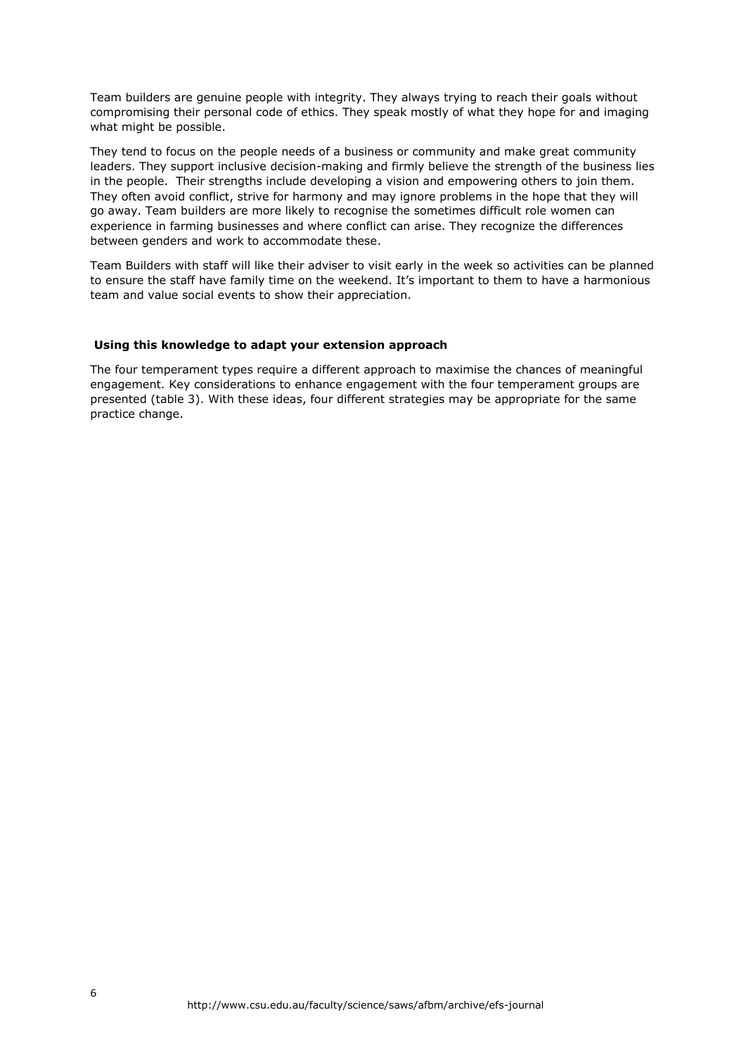Team builders are genuine people with integrity. They always trying to reach their goals without compromising their personal code of ethics. They speak mostly of what they hope for and imaging what might be possible.

They tend to focus on the people needs of a business or community and make great community leaders. They support inclusive decision-making and firmly believe the strength of the business lies in the people. Their strengths include developing a vision and empowering others to join them. They often avoid conflict, strive for harmony and may ignore problems in the hope that they will go away. Team builders are more likely to recognise the sometimes difficult role women can experience in farming businesses and where conflict can arise. They recognize the differences between genders and work to accommodate these.

Team Builders with staff will like their adviser to visit early in the week so activities can be planned to ensure the staff have family time on the weekend. It's important to them to have a harmonious team and value social events to show their appreciation.

# **Using this knowledge to adapt your extension approach**

The four temperament types require a different approach to maximise the chances of meaningful engagement. Key considerations to enhance engagement with the four temperament groups are presented (table 3). With these ideas, four different strategies may be appropriate for the same practice change.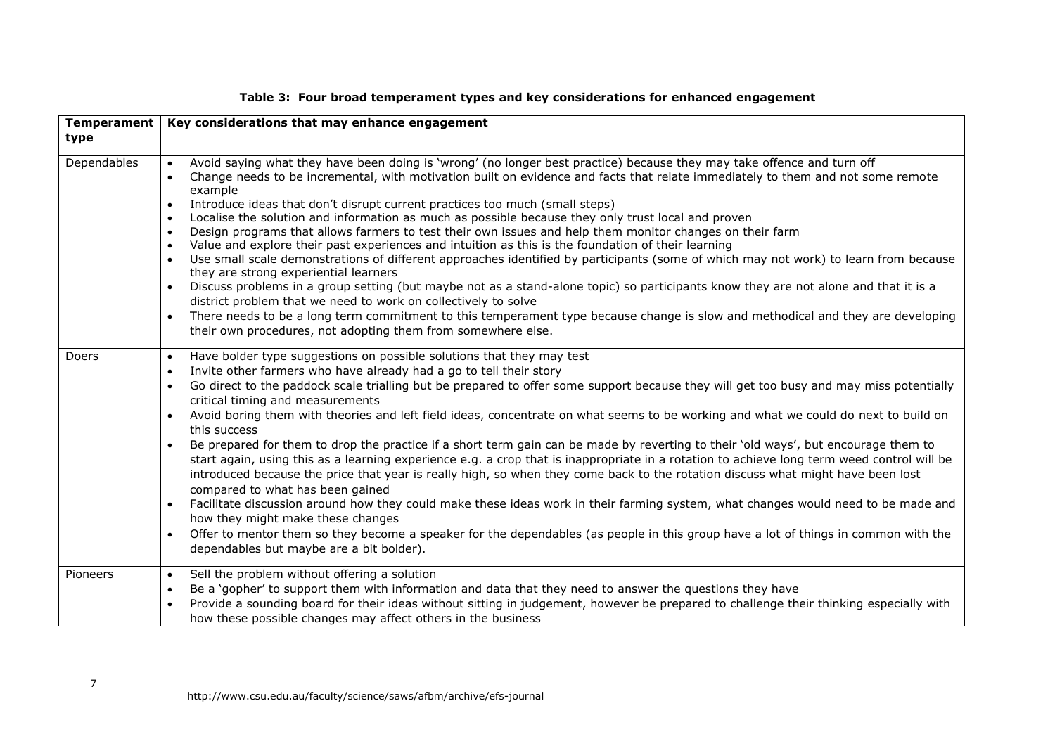| <b>Temperament</b> | Key considerations that may enhance engagement                                                                                                                                                                                                                                                                                                                                                                                                                                                                                                                                                                                                                                                                                                                                                                                                                                                                                                                                                                                                                                                                                                                                                                                                                                                                                                                           |
|--------------------|--------------------------------------------------------------------------------------------------------------------------------------------------------------------------------------------------------------------------------------------------------------------------------------------------------------------------------------------------------------------------------------------------------------------------------------------------------------------------------------------------------------------------------------------------------------------------------------------------------------------------------------------------------------------------------------------------------------------------------------------------------------------------------------------------------------------------------------------------------------------------------------------------------------------------------------------------------------------------------------------------------------------------------------------------------------------------------------------------------------------------------------------------------------------------------------------------------------------------------------------------------------------------------------------------------------------------------------------------------------------------|
| type               |                                                                                                                                                                                                                                                                                                                                                                                                                                                                                                                                                                                                                                                                                                                                                                                                                                                                                                                                                                                                                                                                                                                                                                                                                                                                                                                                                                          |
| Dependables        | Avoid saying what they have been doing is 'wrong' (no longer best practice) because they may take offence and turn off<br>Change needs to be incremental, with motivation built on evidence and facts that relate immediately to them and not some remote<br>example<br>Introduce ideas that don't disrupt current practices too much (small steps)<br>$\bullet$<br>Localise the solution and information as much as possible because they only trust local and proven<br>$\bullet$<br>Design programs that allows farmers to test their own issues and help them monitor changes on their farm<br>$\bullet$<br>Value and explore their past experiences and intuition as this is the foundation of their learning<br>$\bullet$<br>Use small scale demonstrations of different approaches identified by participants (some of which may not work) to learn from because<br>they are strong experiential learners<br>Discuss problems in a group setting (but maybe not as a stand-alone topic) so participants know they are not alone and that it is a<br>district problem that we need to work on collectively to solve<br>There needs to be a long term commitment to this temperament type because change is slow and methodical and they are developing<br>$\bullet$<br>their own procedures, not adopting them from somewhere else.                                |
| Doers              | Have bolder type suggestions on possible solutions that they may test<br>$\bullet$<br>Invite other farmers who have already had a go to tell their story<br>Go direct to the paddock scale trialling but be prepared to offer some support because they will get too busy and may miss potentially<br>$\bullet$<br>critical timing and measurements<br>Avoid boring them with theories and left field ideas, concentrate on what seems to be working and what we could do next to build on<br>$\bullet$<br>this success<br>Be prepared for them to drop the practice if a short term gain can be made by reverting to their 'old ways', but encourage them to<br>start again, using this as a learning experience e.g. a crop that is inappropriate in a rotation to achieve long term weed control will be<br>introduced because the price that year is really high, so when they come back to the rotation discuss what might have been lost<br>compared to what has been gained<br>Facilitate discussion around how they could make these ideas work in their farming system, what changes would need to be made and<br>$\bullet$<br>how they might make these changes<br>Offer to mentor them so they become a speaker for the dependables (as people in this group have a lot of things in common with the<br>$\bullet$<br>dependables but maybe are a bit bolder). |
| Pioneers           | Sell the problem without offering a solution<br>$\bullet$<br>Be a 'gopher' to support them with information and data that they need to answer the questions they have<br>$\bullet$<br>Provide a sounding board for their ideas without sitting in judgement, however be prepared to challenge their thinking especially with<br>$\bullet$<br>how these possible changes may affect others in the business                                                                                                                                                                                                                                                                                                                                                                                                                                                                                                                                                                                                                                                                                                                                                                                                                                                                                                                                                                |

# **Table 3: Four broad temperament types and key considerations for enhanced engagement**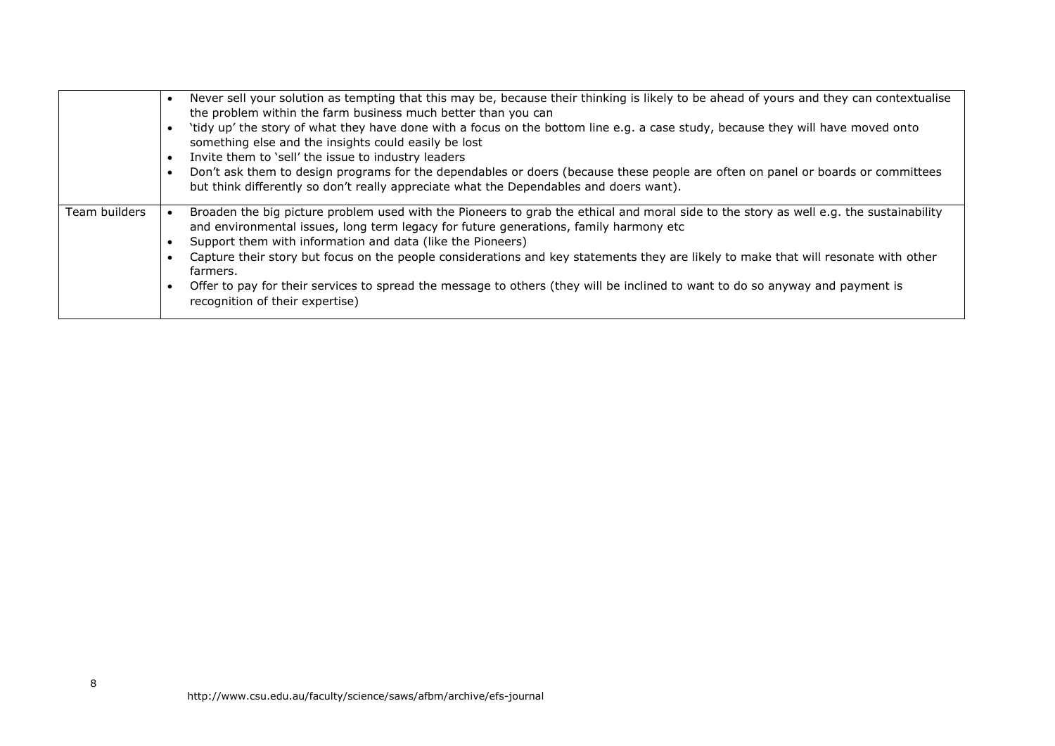|               | Never sell your solution as tempting that this may be, because their thinking is likely to be ahead of yours and they can contextualise<br>the problem within the farm business much better than you can<br>'tidy up' the story of what they have done with a focus on the bottom line e.g. a case study, because they will have moved onto<br>something else and the insights could easily be lost<br>Invite them to 'sell' the issue to industry leaders<br>$\bullet$<br>Don't ask them to design programs for the dependables or doers (because these people are often on panel or boards or committees<br>$\bullet$<br>but think differently so don't really appreciate what the Dependables and doers want). |
|---------------|-------------------------------------------------------------------------------------------------------------------------------------------------------------------------------------------------------------------------------------------------------------------------------------------------------------------------------------------------------------------------------------------------------------------------------------------------------------------------------------------------------------------------------------------------------------------------------------------------------------------------------------------------------------------------------------------------------------------|
| Team builders | Broaden the big picture problem used with the Pioneers to grab the ethical and moral side to the story as well e.g. the sustainability<br>and environmental issues, long term legacy for future generations, family harmony etc<br>Support them with information and data (like the Pioneers)<br>Capture their story but focus on the people considerations and key statements they are likely to make that will resonate with other<br>farmers.<br>Offer to pay for their services to spread the message to others (they will be inclined to want to do so anyway and payment is<br>recognition of their expertise)                                                                                              |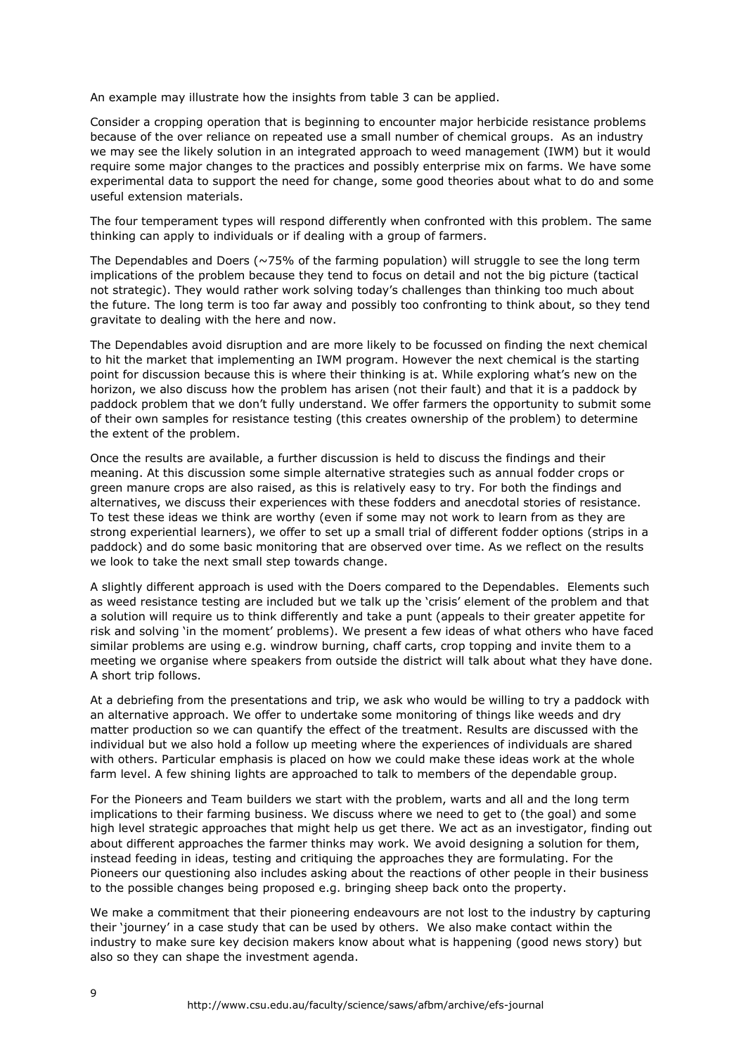An example may illustrate how the insights from table 3 can be applied.

Consider a cropping operation that is beginning to encounter major herbicide resistance problems because of the over reliance on repeated use a small number of chemical groups. As an industry we may see the likely solution in an integrated approach to weed management (IWM) but it would require some major changes to the practices and possibly enterprise mix on farms. We have some experimental data to support the need for change, some good theories about what to do and some useful extension materials.

The four temperament types will respond differently when confronted with this problem. The same thinking can apply to individuals or if dealing with a group of farmers.

The Dependables and Doers ( $\sim$ 75% of the farming population) will struggle to see the long term implications of the problem because they tend to focus on detail and not the big picture (tactical not strategic). They would rather work solving today's challenges than thinking too much about the future. The long term is too far away and possibly too confronting to think about, so they tend gravitate to dealing with the here and now.

The Dependables avoid disruption and are more likely to be focussed on finding the next chemical to hit the market that implementing an IWM program. However the next chemical is the starting point for discussion because this is where their thinking is at. While exploring what's new on the horizon, we also discuss how the problem has arisen (not their fault) and that it is a paddock by paddock problem that we don't fully understand. We offer farmers the opportunity to submit some of their own samples for resistance testing (this creates ownership of the problem) to determine the extent of the problem.

Once the results are available, a further discussion is held to discuss the findings and their meaning. At this discussion some simple alternative strategies such as annual fodder crops or green manure crops are also raised, as this is relatively easy to try. For both the findings and alternatives, we discuss their experiences with these fodders and anecdotal stories of resistance. To test these ideas we think are worthy (even if some may not work to learn from as they are strong experiential learners), we offer to set up a small trial of different fodder options (strips in a paddock) and do some basic monitoring that are observed over time. As we reflect on the results we look to take the next small step towards change.

A slightly different approach is used with the Doers compared to the Dependables. Elements such as weed resistance testing are included but we talk up the 'crisis' element of the problem and that a solution will require us to think differently and take a punt (appeals to their greater appetite for risk and solving 'in the moment' problems). We present a few ideas of what others who have faced similar problems are using e.g. windrow burning, chaff carts, crop topping and invite them to a meeting we organise where speakers from outside the district will talk about what they have done. A short trip follows.

At a debriefing from the presentations and trip, we ask who would be willing to try a paddock with an alternative approach. We offer to undertake some monitoring of things like weeds and dry matter production so we can quantify the effect of the treatment. Results are discussed with the individual but we also hold a follow up meeting where the experiences of individuals are shared with others. Particular emphasis is placed on how we could make these ideas work at the whole farm level. A few shining lights are approached to talk to members of the dependable group.

For the Pioneers and Team builders we start with the problem, warts and all and the long term implications to their farming business. We discuss where we need to get to (the goal) and some high level strategic approaches that might help us get there. We act as an investigator, finding out about different approaches the farmer thinks may work. We avoid designing a solution for them, instead feeding in ideas, testing and critiquing the approaches they are formulating. For the Pioneers our questioning also includes asking about the reactions of other people in their business to the possible changes being proposed e.g. bringing sheep back onto the property.

We make a commitment that their pioneering endeavours are not lost to the industry by capturing their 'journey' in a case study that can be used by others. We also make contact within the industry to make sure key decision makers know about what is happening (good news story) but also so they can shape the investment agenda.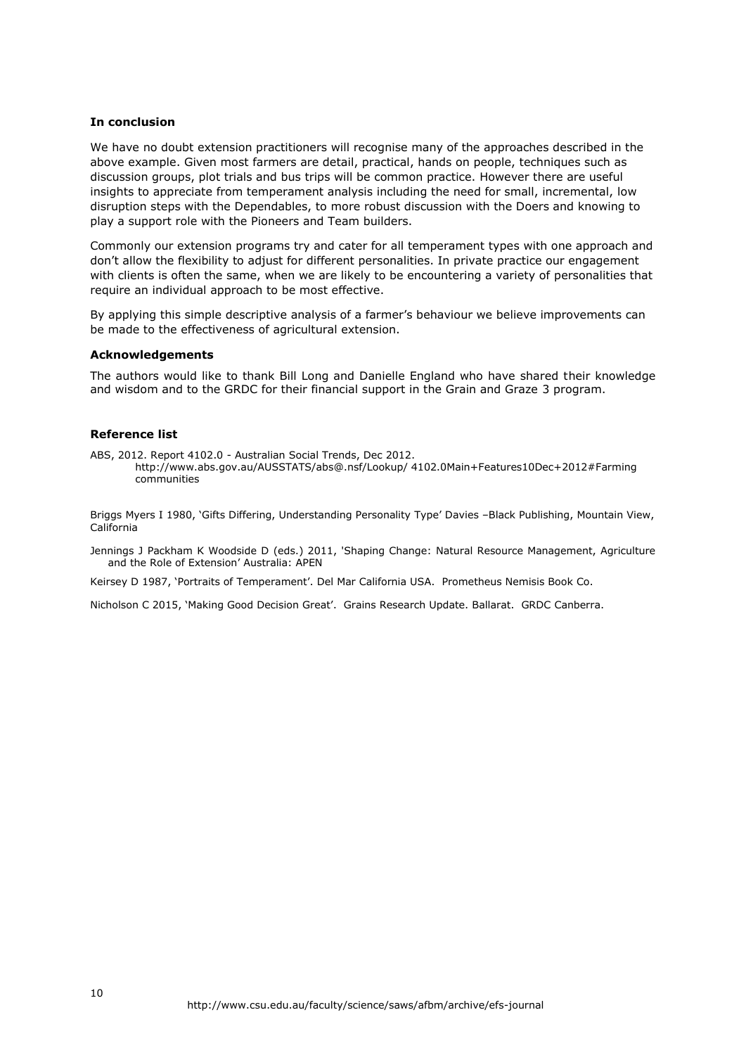# **In conclusion**

We have no doubt extension practitioners will recognise many of the approaches described in the above example. Given most farmers are detail, practical, hands on people, techniques such as discussion groups, plot trials and bus trips will be common practice. However there are useful insights to appreciate from temperament analysis including the need for small, incremental, low disruption steps with the Dependables, to more robust discussion with the Doers and knowing to play a support role with the Pioneers and Team builders.

Commonly our extension programs try and cater for all temperament types with one approach and don't allow the flexibility to adjust for different personalities. In private practice our engagement with clients is often the same, when we are likely to be encountering a variety of personalities that require an individual approach to be most effective.

By applying this simple descriptive analysis of a farmer's behaviour we believe improvements can be made to the effectiveness of agricultural extension.

#### **Acknowledgements**

The authors would like to thank Bill Long and Danielle England who have shared their knowledge and wisdom and to the GRDC for their financial support in the Grain and Graze 3 program.

# **Reference list**

ABS, 2012. Report 4102.0 - Australian Social Trends, Dec 2012. http://www.abs.gov.au/AUSSTATS/abs@.nsf/Lookup/ 4102.0Main+Features10Dec+2012#Farming communities

Briggs Myers I 1980, 'Gifts Differing, Understanding Personality Type' Davies –Black Publishing, Mountain View, California

Jennings J Packham K Woodside D (eds.) 2011, 'Shaping Change: Natural Resource Management, Agriculture and the Role of Extension' Australia: APEN

Keirsey D 1987, 'Portraits of Temperament'. Del Mar California USA. Prometheus Nemisis Book Co.

Nicholson C 2015, 'Making Good Decision Great'. Grains Research Update. Ballarat. GRDC Canberra.